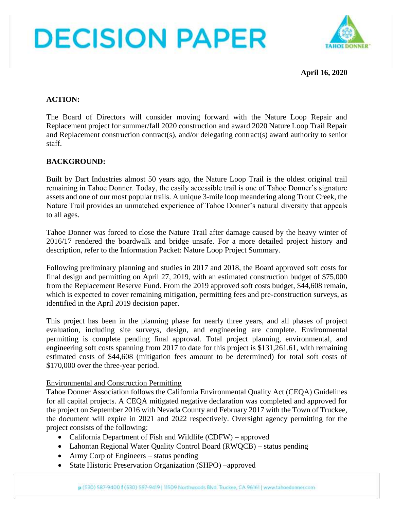# **DECISION PAPER**



**April 16, 2020**

## **ACTION:**

The Board of Directors will consider moving forward with the Nature Loop Repair and Replacement project for summer/fall 2020 construction and award 2020 Nature Loop Trail Repair and Replacement construction contract(s), and/or delegating contract(s) award authority to senior staff.

## **BACKGROUND:**

Built by Dart Industries almost 50 years ago, the Nature Loop Trail is the oldest original trail remaining in Tahoe Donner. Today, the easily accessible trail is one of Tahoe Donner's signature assets and one of our most popular trails. A unique 3-mile loop meandering along Trout Creek, the Nature Trail provides an unmatched experience of Tahoe Donner's natural diversity that appeals to all ages.

Tahoe Donner was forced to close the Nature Trail after damage caused by the heavy winter of 2016/17 rendered the boardwalk and bridge unsafe. For a more detailed project history and description, refer to the Information Packet: Nature Loop Project Summary.

Following preliminary planning and studies in 2017 and 2018, the Board approved soft costs for final design and permitting on April 27, 2019, with an estimated construction budget of \$75,000 from the Replacement Reserve Fund. From the 2019 approved soft costs budget, \$44,608 remain, which is expected to cover remaining mitigation, permitting fees and pre-construction surveys, as identified in the April 2019 decision paper.

This project has been in the planning phase for nearly three years, and all phases of project evaluation, including site surveys, design, and engineering are complete. Environmental permitting is complete pending final approval. Total project planning, environmental, and engineering soft costs spanning from 2017 to date for this project is \$131,261.61, with remaining estimated costs of \$44,608 (mitigation fees amount to be determined) for total soft costs of \$170,000 over the three-year period.

## Environmental and Construction Permitting

Tahoe Donner Association follows the California Environmental Quality Act (CEQA) Guidelines for all capital projects. A CEQA mitigated negative declaration was completed and approved for the project on September 2016 with Nevada County and February 2017 with the Town of Truckee, the document will expire in 2021 and 2022 respectively. Oversight agency permitting for the project consists of the following:

- California Department of Fish and Wildlife (CDFW) approved
- Lahontan Regional Water Quality Control Board (RWQCB) status pending
- Army Corp of Engineers status pending
- State Historic Preservation Organization (SHPO) –approved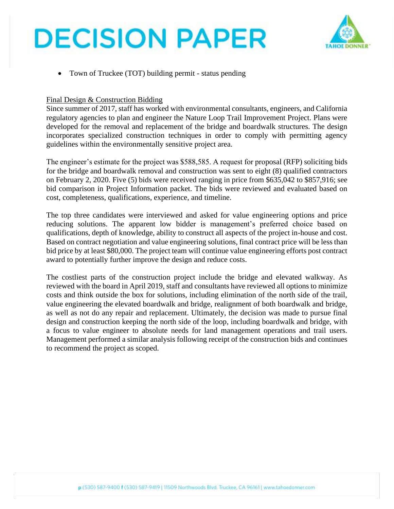## **DECISION PAPER**



• Town of Truckee (TOT) building permit - status pending

#### Final Design & Construction Bidding

Since summer of 2017, staff has worked with environmental consultants, engineers, and California regulatory agencies to plan and engineer the Nature Loop Trail Improvement Project. Plans were developed for the removal and replacement of the bridge and boardwalk structures. The design incorporates specialized construction techniques in order to comply with permitting agency guidelines within the environmentally sensitive project area.

The engineer's estimate for the project was \$588,585. A request for proposal (RFP) soliciting bids for the bridge and boardwalk removal and construction was sent to eight (8) qualified contractors on February 2, 2020. Five (5) bids were received ranging in price from \$635,042 to \$857,916; see bid comparison in Project Information packet. The bids were reviewed and evaluated based on cost, completeness, qualifications, experience, and timeline.

The top three candidates were interviewed and asked for value engineering options and price reducing solutions. The apparent low bidder is management's preferred choice based on qualifications, depth of knowledge, ability to construct all aspects of the project in-house and cost. Based on contract negotiation and value engineering solutions, final contract price will be less than bid price by at least \$80,000. The project team will continue value engineering efforts post contract award to potentially further improve the design and reduce costs.

The costliest parts of the construction project include the bridge and elevated walkway. As reviewed with the board in April 2019, staff and consultants have reviewed all options to minimize costs and think outside the box for solutions, including elimination of the north side of the trail, value engineering the elevated boardwalk and bridge, realignment of both boardwalk and bridge, as well as not do any repair and replacement. Ultimately, the decision was made to pursue final design and construction keeping the north side of the loop, including boardwalk and bridge, with a focus to value engineer to absolute needs for land management operations and trail users. Management performed a similar analysis following receipt of the construction bids and continues to recommend the project as scoped.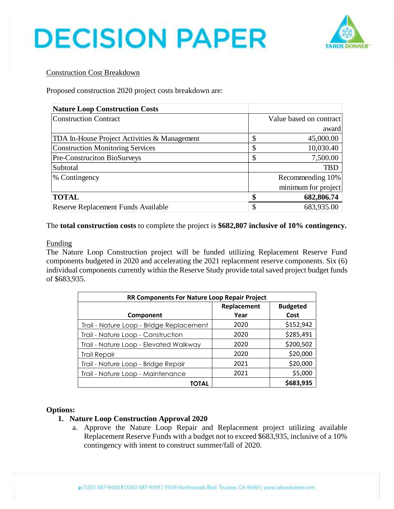



### Construction Cost Breakdown

Proposed construction 2020 project costs breakdown are:

| <b>Nature Loop Construction Costs</b>        |                         |  |
|----------------------------------------------|-------------------------|--|
| <b>Construction Contract</b>                 | Value based on contract |  |
|                                              | award                   |  |
| TDA In-House Project Activities & Management | \$<br>45,000.00         |  |
| <b>Construction Monitoring Services</b>      | \$<br>10,030.40         |  |
| Pre-Construciton BioSurveys                  | \$<br>7,500.00          |  |
| Subtotal                                     | <b>TBD</b>              |  |
| % Contingency                                | Recommending 10%        |  |
|                                              | minimum for project     |  |
| <b>TOTAL</b>                                 | 682,806.74              |  |
| Reserve Replacement Funds Available          | \$<br>683,935.00        |  |

The **total construction costs** to complete the project is **\$682,807 inclusive of 10% contingency.**

#### Funding

The Nature Loop Construction project will be funded utilizing Replacement Reserve Fund components budgeted in 2020 and accelerating the 2021 replacement reserve components. Six (6) individual components currently within the Reserve Study provide total saved project budget funds of \$683,935.

| RR Components For Nature Loop Repair Project |             |                 |  |  |
|----------------------------------------------|-------------|-----------------|--|--|
|                                              | Replacement | <b>Budgeted</b> |  |  |
| Component                                    | Year        | Cost            |  |  |
| Trail - Nature Loop - Bridge Replacement     | 2020        | \$152,942       |  |  |
| Trail - Nature Loop - Construction           | 2020        | \$285,491       |  |  |
| Trail - Nature Loop - Elevated Walkway       | 2020        | \$200,502       |  |  |
| <b>Trail Repair</b>                          | 2020        | \$20,000        |  |  |
| Trail - Nature Loop - Bridge Repair          | 2021        | \$20,000        |  |  |
| Trail - Nature Loop - Maintenance            | 2021        | \$5,000         |  |  |
| TOTAL                                        |             | \$683,935       |  |  |

#### **Options:**

## **1. Nature Loop Construction Approval 2020**

a. Approve the Nature Loop Repair and Replacement project utilizing available Replacement Reserve Funds with a budget not to exceed \$683,935, inclusive of a 10% contingency with intent to construct summer/fall of 2020.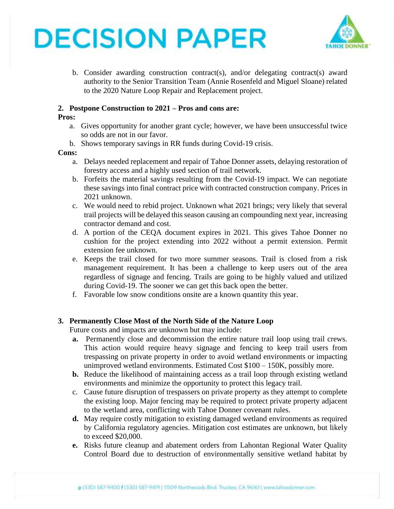



b. Consider awarding construction contract(s), and/or delegating contract(s) award authority to the Senior Transition Team (Annie Rosenfeld and Miguel Sloane) related to the 2020 Nature Loop Repair and Replacement project.

#### **2. Postpone Construction to 2021 – Pros and cons are:**

#### **Pros:**

- a. Gives opportunity for another grant cycle; however, we have been unsuccessful twice so odds are not in our favor.
- b. Shows temporary savings in RR funds during Covid-19 crisis.

#### **Cons:**

- a. Delays needed replacement and repair of Tahoe Donner assets, delaying restoration of forestry access and a highly used section of trail network.
- b. Forfeits the material savings resulting from the Covid-19 impact. We can negotiate these savings into final contract price with contracted construction company. Prices in 2021 unknown.
- c. We would need to rebid project. Unknown what 2021 brings; very likely that several trail projects will be delayed this season causing an compounding next year, increasing contractor demand and cost.
- d. A portion of the CEQA document expires in 2021. This gives Tahoe Donner no cushion for the project extending into 2022 without a permit extension. Permit extension fee unknown.
- e. Keeps the trail closed for two more summer seasons. Trail is closed from a risk management requirement. It has been a challenge to keep users out of the area regardless of signage and fencing. Trails are going to be highly valued and utilized during Covid-19. The sooner we can get this back open the better.
- f. Favorable low snow conditions onsite are a known quantity this year.

## **3. Permanently Close Most of the North Side of the Nature Loop**

Future costs and impacts are unknown but may include:

- **a.** Permanently close and decommission the entire nature trail loop using trail crews. This action would require heavy signage and fencing to keep trail users from trespassing on private property in order to avoid wetland environments or impacting unimproved wetland environments. Estimated Cost \$100 – 150K, possibly more.
- **b.** Reduce the likelihood of maintaining access as a trail loop through existing wetland environments and minimize the opportunity to protect this legacy trail.
- c. Cause future disruption of trespassers on private property as they attempt to complete the existing loop. Major fencing may be required to protect private property adjacent to the wetland area, conflicting with Tahoe Donner covenant rules.
- **d.** May require costly mitigation to existing damaged wetland environments as required by California regulatory agencies. Mitigation cost estimates are unknown, but likely to exceed \$20,000.
- **e.** Risks future cleanup and abatement orders from Lahontan Regional Water Quality Control Board due to destruction of environmentally sensitive wetland habitat by